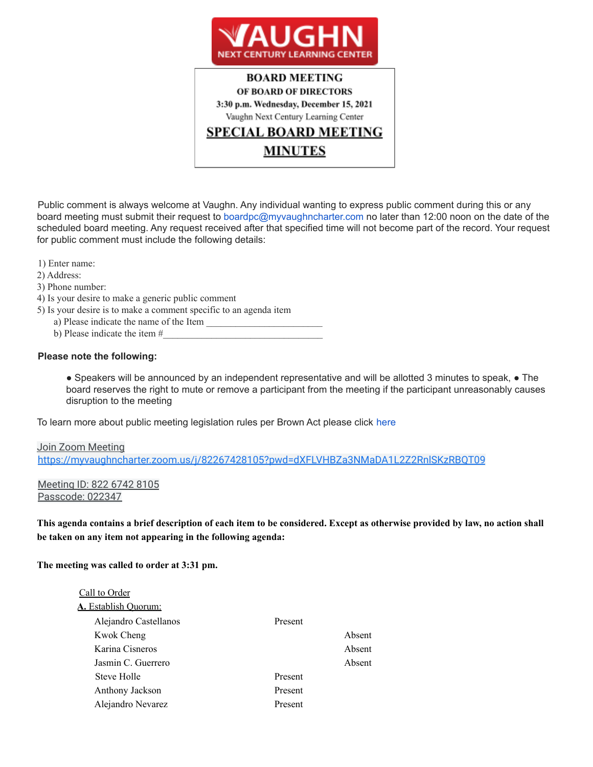

# **BOARD MEETING** OF BOARD OF DIRECTORS 3:30 p.m. Wednesday, December 15, 2021 Vaughn Next Century Learning Center <u>SPECIAL BOARD MEETING</u> **MINUTES**

Public comment is always welcome at Vaughn. Any individual wanting to express public comment during this or any board meeting must submit their request to boardpc@myvaughncharter.com no later than 12:00 noon on the date of the scheduled board meeting. Any request received after that specified time will not become part of the record. Your request for public comment must include the following details:

1) Enter name:

- 2) Address:
- 3) Phone number:
- 4) Is your desire to make a generic public comment
- 5) Is your desire is to make a comment specific to an agenda item
	- a) Please indicate the name of the Item  $\Box$
	- b) Please indicate the item #

#### **Please note the following:**

● Speakers will be announced by an independent representative and will be allotted 3 minutes to speak, ● The board reserves the right to mute or remove a participant from the meeting if the participant unreasonably causes disruption to the meeting

To learn more about public meeting legislation rules per Brown Act please click here

## Join Zoom Meeting https://myvaughncharter.zoom.us/j/82267428105?pwd=dXFLVHBZa3NMaDA1L2Z2RnlSKzRBQT09

Meeting ID: 822 6742 8105 Passcode: 022347

This agenda contains a brief description of each item to be considered. Except as otherwise provided by law, no action shall **be taken on any item not appearing in the following agenda:**

**The meeting was called to order at 3:31 pm.**

| Call to Order               |         |        |
|-----------------------------|---------|--------|
| <b>A.</b> Establish Quorum: |         |        |
| Alejandro Castellanos       | Present |        |
| Kwok Cheng                  |         | Absent |
| Karina Cisneros             |         | Absent |
| Jasmin C. Guerrero          |         | Absent |
| Steve Holle                 | Present |        |
| Anthony Jackson             | Present |        |
| Alejandro Nevarez           | Present |        |
|                             |         |        |